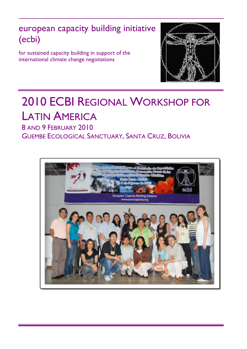european capacity building initiative (ecbi)

for sustained capacity building in support of the international climate change negotiations



# 2010 ECBI REGIONAL WORKSHOP FOR LATIN AMERICA

8 AND 9 FEBRUARY 2010 GUEMBE ECOLOGICAL SANCTUARY, SANTA CRUZ, BOLIVIA

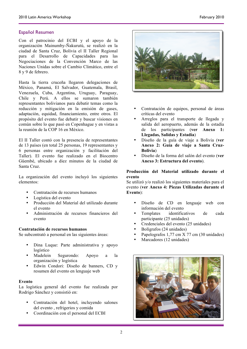## Español Resumen

Con el patrocinio del ECBI y el apoyo de la organización Mainumby-Ñakurutú, se realizó en la ciudad de Santa Cruz, Bolivia el II Taller Regional para el Desarrollo de Capacidades para las Negociaciones de la Convención Marco de las Naciones Unidas sobre el Cambio Climático, entre el 8 y 9 de febrero.

Hasta la tierra cruceña llegaron delegaciones de México, Panamá, El Salvador, Guatemala, Brasil, Venezuela, Cuba, Argentina, Uruguay, Paraguay, Chile y Perú. A ellos se sumaron también representantes bolivianos para debatir temas como la reducción y mitigación en la emisión de gases, adaptación, equidad, financiamiento, entre otros. El propósito del evento fue debatir y buscar visiones en común sobre lo que pasó en Copenhague y en vistas a la reunión de la COP 16 en México.

El II Taller contó con la presencia de representantes de 13 países (en total 25 personas, 19 representantes y 6 personas entre organización y facilitación del Taller). El evento fue realizado en el Biocentro Güembé, ubicado a diez minutos de la ciudad de Santa Cruz.

La organización del evento incluyó los siguientes elementos:

- Contratación de recursos humanos
- Logística del evento
- Producción del Material del utilizado durante el evento
- Administración de recursos financieros del evento

## **Contratación de recursos humanos**

Se subcontrató a personal en las siguientes áreas:

- Dina Luque: Parte administrativa y apoyo logístico
- Madelein Segurondo: Apoyo a la organización y logística
- Edwin Condori: Diseño de banners, CD y resumen del evento en lenguaje web

#### **Evento**

La logística general del evento fue realizada por Rodrigo Sánchez y consistió en:

- Contratación del hotel, incluyendo salones del evento , refrigerios y comida
- Coordinación con el personal del ECBI



- Contratación de equipos, personal de áreas críticas del evento
- Arreglos para el transporte de llegada y salida del aeropuerto, además de la estadía de los participantes (**ver Anexo 1: Llegadas, Salidas y Estadía**)
- Diseño de la guía de viaje a Bolivia (**ver Anexo 2: Guía de viaje a Santa Cruz-Bolivia**)
- Diseño de la forma del salón del evento (**ver Anexo 3: Estructura del evento**).

## **Producción del Material utilizado durante el evento**

Se utilizó y/o realizó los siguientes materiales para el evento (**ver Anexo 4: Piezas Utilizadas durante el Evento**):

- Diseño de CD en lenguaje web con información del evento
- Templates identificativos de cada participante (25 unidades)
- Credenciales del evento (25 unidades)
- Bolígrafos (24 unidades)
- Papelografos 1,77 cm X 77 cm (30 unidades)
- Marcadores (12 unidades)

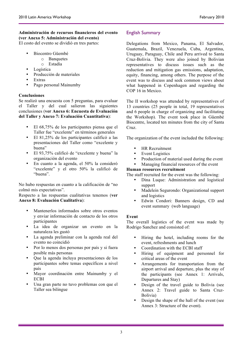## **Administración de recursos financieros del evento (ver Anexo 5: Administración del evento)**

El costo del evento se dividió en tres partes:

- Biocentro Güembé
	- o Banquetes
	- o Estadía
- Logística
- Producción de materiales
- Extras
- Pago personal Mainumby

## **Conclusiones**

Se realizó una encuesta con 5 preguntas, para evaluar el Taller y del cual salieron las siguientes conclusiones (**ver Anexo 6: Encuesta de Evaluación del Taller y Anexo 7: Evaluación Cuantitativa**):

- El 68,75% de los participantes piensa que el Taller fue "excelente" en términos generales
- El 81,25% de los participantes calificó a las presentaciones del Taller como "excelente y buena"
- El 93,75% calificó de "excelente y buena" la organización del evento
- En cuanto a la agenda, el 50% la consideró "excelente" y el otro 50% la calificó de "buena".

No hubo respuestas en cuanto a la calificación de "no colmó mis expectativas".

Respecto a las respuestas cualitativas tenemos (**ver Anexo 8: Evaluación Cualitativa**):

- Mantenerlos informados sobre otros eventos y enviar información de contacto de los otros participantes
- La idea de organizar un evento en la naturaleza les gustó
- La agenda preliminar con la agenda real del evento no coincidió
- Por lo menos dos personas por país y si fuera posible más personas
- Que la agenda incluya presentaciones de los participantes sobre temas específicos a nivel país
- Mayor coordinación entre Mainumby y el ECBI
- Una gran parte no tuvo problemas con que el Taller sea bilingue

## English Summary

Delegations from Mexico, Panama, El Salvador, Guatemala, Brazil, Venezuela, Cuba, Argentina, Uruguay, Paraguay, Chile and Peru arrived to Santa Cruz-Bolivia. They were also joined by Bolivian representatives to discuss issues such as the reduction and mitigation gas emissions, adaptation, equity, financing, among others. The purpose of the event was to discuss and seek common views about what happened in Copenhagen and regarding the COP 16 in Mexico.

The II workshop was attended by representatives of 13 countries (25 people in total, 19 representatives and 6 people in charge of organizing and facilitating the Workshop). The event took place in Güembé Biocentre, located ten minutes from the city of Santa Cruz.

The organization of the event included the following:

- **HR** Recruitment
- **Event Logistics**
- Production of material used during the event
- Managing financial resources of the event

## **Human resources recruitment**

The staff recruited for the event was the following:

- Dina Luque: Administration and logistical support
- Madelein Segurondo: Organizational support and logistics
- Edwin Condori: Banners design, CD and event summary (web language)

## **Event**

The overall logistics of the event was made by Rodrigo Sanchez and consisted of:

- Hiring the hotel, including rooms for the event, refreshments and lunch
- Coordination with the ECBI staff
- Hiring of equipment and personnel for critical areas of the event
- Arrangements for transportation from the airport arrival and departure, plus the stay of the participants (see Annex 1: Arrivals, Departures and Stay)
- Design of the travel guide to Bolivia (see Annex 2: Travel guide to Santa Cruz-Bolivia)
- Design the shape of the hall of the event (see Annex 3: Structure of the event).